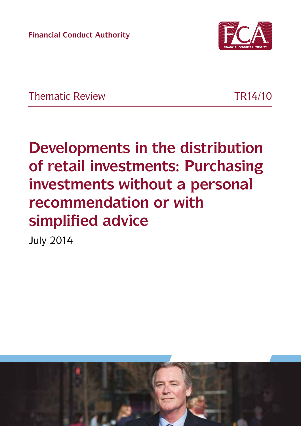**Financial Conduct Authority**



Thematic Review TR14/10

# **Developments in the distribution of retail investments: Purchasing investments without a personal recommendation or with simplified advice**

July 2014

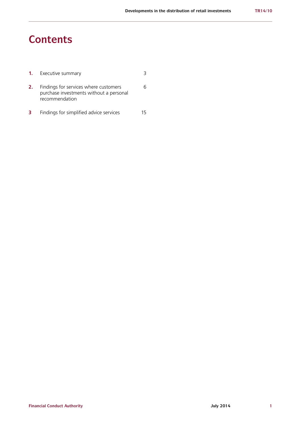# **Contents**

|    | <b>1.</b> Executive summary                                                                        |  |
|----|----------------------------------------------------------------------------------------------------|--|
| 2. | Findings for services where customers<br>purchase investments without a personal<br>recommendation |  |
| 3  | Findings for simplified advice services                                                            |  |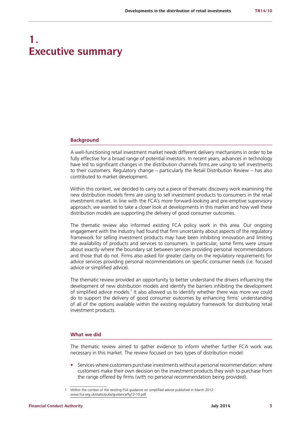# **1. Executive summary**

#### **Background**

A well-functioning retail investment market needs different delivery mechanisms in order to be fully effective for a broad range of potential investors. In recent years, advances in technology have led to significant changes in the distribution channels firms are using to sell investments to their customers. Regulatory change – particularly the Retail Distribution Review – has also contributed to market development.

Within this context, we decided to carry out a piece of thematic discovery work examining the new distribution models firms are using to sell investment products to consumers in the retail investment market. In line with the FCA's more forward-looking and pre-emptive supervisory approach, we wanted to take a closer look at developments in this market and how well these distribution models are supporting the delivery of good consumer outcomes.

The thematic review also informed existing FCA policy work in this area. Our ongoing engagement with the industry had found that firm uncertainty about aspects of the regulatory framework for selling investment products may have been inhibiting innovation and limiting the availability of products and services to consumers. In particular, some firms were unsure about exactly where the boundary sat between services providing personal recommendations and those that do not. Firms also asked for greater clarity on the regulatory requirements for advice services providing personal recommendations on specific consumer needs (i.e. focused advice or simplified advice).

The thematic review provided an opportunity to better understand the drivers influencing the development of new distribution models and identify the barriers inhibiting the development of simplified advice models.<sup>1</sup> It also allowed us to identify whether there was more we could do to support the delivery of good consumer outcomes by enhancing firms' understanding of all of the options available within the existing regulatory framework for distributing retail investment products.

### **What we did**

The thematic review aimed to gather evidence to inform whether further FCA work was necessary in this market. The review focused on two types of distribution model:

**•** Services where customers purchase investments without a personal recommendation: where customers make their own decision on the investment products they wish to purchase from the range offered by firms (with no personal recommendation being provided).

<sup>1</sup> Within the context of the existing FSA guidance on simplified advice published in March 2012: [www.fca.org.uk/static/pubs/guidance/fg12-10.pdf](http://www.fca.org.uk/static/pubs/guidance/fg12-10.pdf)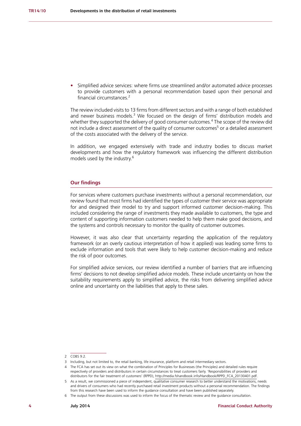**•** Simplified advice services: where firms use streamlined and/or automated advice processes to provide customers with a personal recommendation based upon their personal and financial circumstances.<sup>2</sup>

The review included visits to 13 firms from different sectors and with a range of both established and newer business models.<sup>3</sup> We focused on the design of firms' distribution models and whether they supported the delivery of good consumer outcomes.<sup>4</sup> The scope of the review did not include a direct assessment of the quality of consumer outcomes<sup>5</sup> or a detailed assessment of the costs associated with the delivery of the service.

In addition, we engaged extensively with trade and industry bodies to discuss market developments and how the regulatory framework was influencing the different distribution models used by the industry.6

#### **Our findings**

For services where customers purchase investments without a personal recommendation, our review found that most firms had identified the types of customer their service was appropriate for and designed their model to try and support informed customer decision-making. This included considering the range of investments they made available to customers, the type and content of supporting information customers needed to help them make good decisions, and the systems and controls necessary to monitor the quality of customer outcomes.

However, it was also clear that uncertainty regarding the application of the regulatory framework (or an overly cautious interpretation of how it applied) was leading some firms to exclude information and tools that were likely to help customer decision-making and reduce the risk of poor outcomes.

For simplified advice services, our review identified a number of barriers that are influencing firms' decisions to not develop simplified advice models. These include uncertainty on how the suitability requirements apply to simplified advice, the risks from delivering simplified advice online and uncertainty on the liabilities that apply to these sales.

<sup>2</sup> COBS 9.2.

<sup>3</sup> Including, but not limited to, the retail banking, life insurance, platform and retail intermediary sectors.

<sup>4</sup> The FCA has set out its view on what the combination of Principles for Businesses (the Principles) and detailed rules require respectively of providers and distributors in certain circumstances to treat customers fairly. 'Responsibilities of providers and distributors for the fair treatment of customers' (RPPD), [http://media.fshandbook.info/Handbook/RPPD\\_FCA\\_20130401.pdf](http://media.fshandbook.info/Handbook/RPPD_FCA_20130401.pdf).

<sup>5</sup> As a result, we commissioned a piece of independent, qualitative consumer research to better understand the motivations, needs and drivers of consumers who had recently purchased retail investment products without a personal recommendation. The findings from this research have been used to inform the guidance consultation and have been published separately.

<sup>6</sup> The output from these discussions was used to inform the focus of the thematic review and the guidance consultation.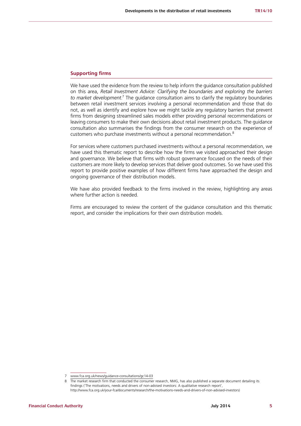#### **Supporting firms**

We have used the evidence from the review to help inform the guidance consultation published on this area, *Retail Investment Advice: Clarifying the boundaries and exploring the barriers*  to market development.<sup>7</sup> The guidance consultation aims to clarify the regulatory boundaries between retail investment services involving a personal recommendation and those that do not, as well as identify and explore how we might tackle any regulatory barriers that prevent firms from designing streamlined sales models either providing personal recommendations or leaving consumers to make their own decisions about retail investment products. The guidance consultation also summarises the findings from the consumer research on the experience of customers who purchase investments without a personal recommendation.<sup>8</sup>

For services where customers purchased investments without a personal recommendation, we have used this thematic report to describe how the firms we visited approached their design and governance. We believe that firms with robust governance focused on the needs of their customers are more likely to develop services that deliver good outcomes. So we have used this report to provide positive examples of how different firms have approached the design and ongoing governance of their distribution models.

We have also provided feedback to the firms involved in the review, highlighting any areas where further action is needed.

Firms are encouraged to review the content of the guidance consultation and this thematic report, and consider the implications for their own distribution models.

<sup>7</sup> [www.fca.org.uk/news/guidance-consultations/gc14-03](http://www.fca.org.uk/news/guidance-consultations/gc14-03)

<sup>8</sup> The market research firm that conducted the consumer research, NMG, has also published a separate document detailing its findings ('The motivations, needs and drivers of non-advised investors: A qualitative research report', [http://www.fca.org.uk/your-fca/documents/research/the-motivations-needs-and-drivers-of-non-advised-investors\)](http://www.fca.org.uk/your-fca/documents/research/the-motivations-needs-and-drivers-of-non-advised-i)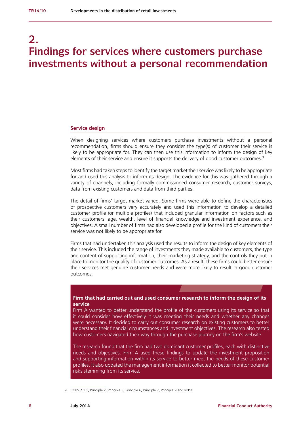# **2. Findings for services where customers purchase investments without a personal recommendation**

#### **Service design**

When designing services where customers purchase investments without a personal recommendation, firms should ensure they consider the type(s) of customer their service is likely to be appropriate for. They can then use this information to inform the design of key elements of their service and ensure it supports the delivery of good customer outcomes.<sup>9</sup>

Most firms had taken steps to identify the target market their service was likely to be appropriate for and used this analysis to inform its design. The evidence for this was gathered through a variety of channels, including formally commissioned consumer research, customer surveys, data from existing customers and data from third parties.

The detail of firms' target market varied. Some firms were able to define the characteristics of prospective customers very accurately and used this information to develop a detailed customer profile (or multiple profiles) that included granular information on factors such as their customers' age, wealth, level of financial knowledge and investment experience, and objectives. A small number of firms had also developed a profile for the kind of customers their service was not likely to be appropriate for.

Firms that had undertaken this analysis used the results to inform the design of key elements of their service. This included the range of investments they made available to customers, the type and content of supporting information, their marketing strategy, and the controls they put in place to monitor the quality of customer outcomes. As a result, these firms could better ensure their services met genuine customer needs and were more likely to result in good customer outcomes.

#### . **Firm that had carried out and used consumer research to inform the design of its service**

Firm A wanted to better understand the profile of the customers using its service so that it could consider how effectively it was meeting their needs and whether any changes were necessary. It decided to carry out consumer research on existing customers to better understand their financial circumstances and investment objectives. The research also tested how customers navigated their way through the purchase journey on the firm's website.

The research found that the firm had two dominant customer profiles, each with distinctive needs and objectives. Firm A used these findings to update the investment proposition and supporting information within its service to better meet the needs of these customer profiles. It also updated the management information it collected to better monitor potential risks stemming from its service.

<sup>9</sup> COBS 2.1.1, Principle 2, Principle 3, Principle 6, Principle 7, Principle 9 and RPPD.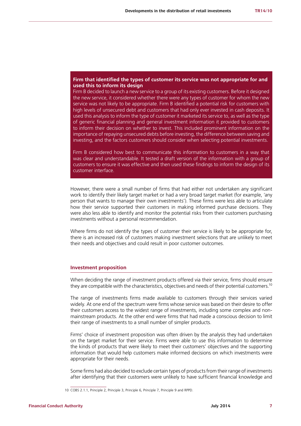#### . **Firm that identified the types of customer its service was not appropriate for and used this to inform its design**

Firm B decided to launch a new service to a group of its existing customers. Before it designed the new service, it considered whether there were any types of customer for whom the new service was not likely to be appropriate. Firm B identified a potential risk for customers with high levels of unsecured debt and customers that had only ever invested in cash deposits. It used this analysis to inform the type of customer it marketed its service to, as well as the type of generic financial planning and general investment information it provided to customers to inform their decision on whether to invest. This included prominent information on the importance of repaying unsecured debts before investing, the difference between saving and investing, and the factors customers should consider when selecting potential investments.

Firm B considered how best to communicate this information to customers in a way that was clear and understandable. It tested a draft version of the information with a group of customers to ensure it was effective and then used these findings to inform the design of its customer interface.

However, there were a small number of firms that had either not undertaken any significant work to identify their likely target market or had a very broad target market (for example, 'any person that wants to manage their own investments'). These firms were less able to articulate how their service supported their customers in making informed purchase decisions. They were also less able to identify and monitor the potential risks from their customers purchasing investments without a personal recommendation.

Where firms do not identify the types of customer their service is likely to be appropriate for, there is an increased risk of customers making investment selections that are unlikely to meet their needs and objectives and could result in poor customer outcomes.

#### **Investment proposition**

When deciding the range of investment products offered via their service, firms should ensure they are compatible with the characteristics, objectives and needs of their potential customers.<sup>10</sup>

The range of investments firms made available to customers through their services varied widely. At one end of the spectrum were firms whose service was based on their desire to offer their customers access to the widest range of investments, including some complex and nonmainstream products. At the other end were firms that had made a conscious decision to limit their range of investments to a small number of simpler products.

Firms' choice of investment proposition was often driven by the analysis they had undertaken on the target market for their service. Firms were able to use this information to determine the kinds of products that were likely to meet their customers' objectives and the supporting information that would help customers make informed decisions on which investments were appropriate for their needs.

Some firms had also decided to exclude certain types of products from their range of investments after identifying that their customers were unlikely to have sufficient financial knowledge and

<sup>10</sup> COBS 2.1.1, Principle 2, Principle 3, Principle 6, Principle 7, Principle 9 and RPPD.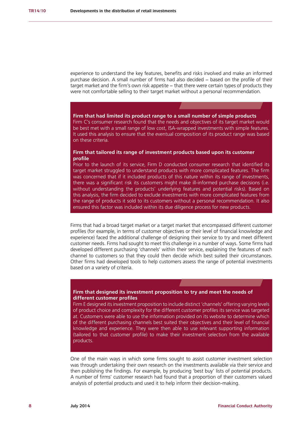experience to understand the key features, benefits and risks involved and make an informed purchase decision. A small number of firms had also decided − based on the profile of their target market and the firm's own risk appetite – that there were certain types of products they were not comfortable selling to their target market without a personal recommendation.

#### . **Firm that had limited its product range to a small number of simple products**

Firm C's consumer research found that the needs and objectives of its target market would be best met with a small range of low cost, ISA-wrapped investments with simple features. It used this analysis to ensure that the eventual composition of its product range was based on these criteria.

### **Firm that tailored its range of investment products based upon its customer profile**

Prior to the launch of its service, Firm D conducted consumer research that identified its target market struggled to understand products with more complicated features. The firm was concerned that if it included products of this nature within its range of investments, there was a significant risk its customers might make ill-informed purchase decisions (i.e. without understanding the products' underlying features and potential risks). Based on this analysis, the firm decided to exclude investments with more complicated features from the range of products it sold to its customers without a personal recommendation. It also ensured this factor was included within its due diligence process for new products.

Firms that had a broad target market or a target market that encompassed different customer profiles (for example, in terms of customer objectives or their level of financial knowledge and experience) faced the additional challenge of designing their service to try and meet different customer needs. Firms had sought to meet this challenge in a number of ways. Some firms had developed different purchasing 'channels' within their service, explaining the features of each channel to customers so that they could then decide which best suited their circumstances. Other firms had developed tools to help customers assess the range of potential investments based on a variety of criteria.

#### . **Firm that designed its investment proposition to try and meet the needs of different customer profiles**

Firm E designed its investment proposition to include distinct 'channels' offering varying levels of product choice and complexity for the different customer profiles its service was targeted at. Customers were able to use the information provided on its website to determine which of the different purchasing channels best suited their objectives and their level of financial knowledge and experience. They were then able to use relevant supporting information (tailored to that customer profile) to make their investment selection from the available products.

One of the main ways in which some firms sought to assist customer investment selection was through undertaking their own research on the investments available via their service and then publishing the findings. For example, by producing 'best buy' lists of potential products. A number of firms' customer research had found that a proportion of their customers valued analysis of potential products and used it to help inform their decision-making.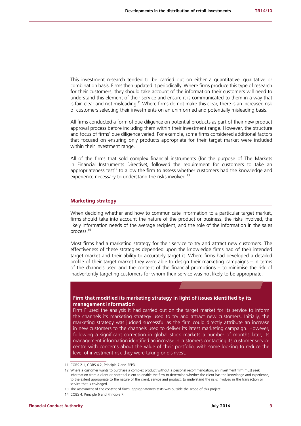This investment research tended to be carried out on either a quantitative, qualitative or combination basis. Firms then updated it periodically. Where firms produce this type of research for their customers, they should take account of the information their customers will need to understand this element of their service and ensure it is communicated to them in a way that is fair, clear and not misleading.<sup>11</sup> Where firms do not make this clear, there is an increased risk of customers selecting their investments on an uninformed and potentially misleading basis.

All firms conducted a form of due diligence on potential products as part of their new product approval process before including them within their investment range. However, the structure and focus of firms' due diligence varied. For example, some firms considered additional factors that focused on ensuring only products appropriate for their target market were included within their investment range.

All of the firms that sold complex financial instruments (for the purpose of The Markets in Financial Instruments Directive), followed the requirement for customers to take an appropriateness test<sup>12</sup> to allow the firm to assess whether customers had the knowledge and experience necessary to understand the risks involved.<sup>13</sup>

#### **Marketing strategy**

When deciding whether and how to communicate information to a particular target market. firms should take into account the nature of the product or business, the risks involved, the likely information needs of the average recipient, and the role of the information in the sales process.14

Most firms had a marketing strategy for their service to try and attract new customers. The effectiveness of these strategies depended upon the knowledge firms had of their intended target market and their ability to accurately target it. Where firms had developed a detailed profile of their target market they were able to design their marketing campaigns – in terms of the channels used and the content of the financial promotions – to minimise the risk of inadvertently targeting customers for whom their service was not likely to be appropriate.

#### . **Firm that modified its marketing strategy in light of issues identified by its management information**

Firm F used the analysis it had carried out on the target market for its service to inform the channels its marketing strategy used to try and attract new customers. Initially, the marketing strategy was judged successful as the firm could directly attribute an increase in new customers to the channels used to deliver its latest marketing campaign. However, following a significant correction in global stock markets a number of months later, its management information identified an increase in customers contacting its customer service centre with concerns about the value of their portfolio, with some looking to reduce the level of investment risk they were taking or disinvest.

<sup>11</sup> COBS 2.1, COBS 4.2, Principle 7 and RPPD.

<sup>12</sup> Where a customer wants to purchase a complex product without a personal recommendation, an investment firm must seek information from a client or potential client to enable the firm to determine whether the client has the knowledge and experience, to the extent appropriate to the nature of the client, service and product, to understand the risks involved in the transaction or service that is envisaged.

<sup>13</sup> The assessment of the content of firms' appropriateness tests was outside the scope of this project.

<sup>14</sup> COBS 4, Principle 6 and Principle 7.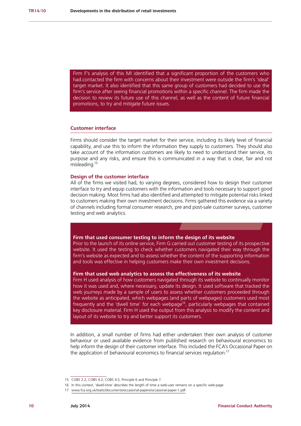. had contacted the firm with concerns about their investment were outside the firm's 'ideal' Firm F's analysis of this MI identified that a significant proportion of the customers who target market. It also identified that this same group of customers had decided to use the firm's service after seeing financial promotions within a specific channel. The firm made the decision to review its future use of this channel, as well as the content of future financial promotions, to try and mitigate future issues.

#### **Customer interface**

Firms should consider the target market for their service, including its likely level of financial capability, and use this to inform the information they supply to customers. They should also take account of the information customers are likely to need to understand their service, its purpose and any risks, and ensure this is communicated in a way that is clear, fair and not misleading.15

#### **Design of the customer interface**

All of the firms we visited had, to varying degrees, considered how to design their customer interface to try and equip customers with the information and tools necessary to support good decision making. Most firms had also identified and attempted to mitigate potential risks linked to customers making their own investment decisions. Firms gathered this evidence via a variety of channels including formal consumer research, pre and post-sale customer surveys, customer testing and web analytics.

#### . **Firm that used consumer testing to inform the design of its website**

Prior to the launch of its online service, Firm G carried out customer testing of its prospective website. It used the testing to check whether customers navigated their way through the firm's website as expected and to assess whether the content of the supporting information and tools was effective in helping customers make their own investment decisions.

#### **Firm that used web analytics to assess the effectiveness of its website**

Firm H used analysis of how customers navigated through its website to continually monitor how it was used and, where necessary, update its design. It used software that tracked the web journeys made by a sample of users to assess whether customers proceeded through the website as anticipated, which webpages (and parts of webpages) customers used most frequently and the 'dwell time' for each webpage<sup>16</sup>, particularly webpages that contained key disclosure material. Firm H used the output from this analysis to modify the content and layout of its website to try and better support its customers.

In addition, a small number of firms had either undertaken their own analysis of customer behaviour or used available evidence from published research on behavioural economics to help inform the design of their customer interface. This included the FCA's Occasional Paper on the application of behavioural economics to financial services regulation.<sup>17</sup>

<sup>15</sup> COBS 2.2, COBS 4.2, COBS 4.5, Principle 6 and Principle 7.

<sup>16</sup> In this context, 'dwell-time' describes the length of time a web-user remains on a specific web-page.

<sup>17</sup> www.fca.org.uk/static/documents/occasional-papers/occasional-paper-1.pdf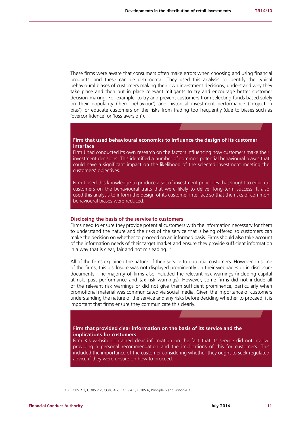These firms were aware that consumers often make errors when choosing and using financial products, and these can be detrimental. They used this analysis to identify the typical behavioural biases of customers making their own investment decisions, understand why they take place and then put in place relevant mitigants to try and encourage better customer decision-making. For example, to try and prevent customers from selecting funds based solely on their popularity ('herd behaviour') and historical investment performance ('projection bias'), or educate customers on the risks from trading too frequently (due to biases such as 'overconfidence' or 'loss aversion').

#### . **Firm that used behavioural economics to influence the design of its customer interface**

Firm J had conducted its own research on the factors influencing how customers make their investment decisions. This identified a number of common potential behavioural biases that could have a significant impact on the likelihood of the selected investment meeting the customers' objectives.

Firm J used this knowledge to produce a set of investment principles that sought to educate customers on the behavioural traits that were likely to deliver long-term success. It also used this analysis to inform the design of its customer interface so that the risks of common behavioural biases were reduced.

#### **Disclosing the basis of the service to customers**

Firms need to ensure they provide potential customers with the information necessary for them to understand the nature and the risks of the service that is being offered so customers can make the decision on whether to proceed on an informed basis. Firms should also take account of the information needs of their target market and ensure they provide sufficient information in a way that is clear, fair and not misleading.<sup>18</sup>

All of the firms explained the nature of their service to potential customers. However, in some of the firms, this disclosure was not displayed prominently on their webpages or in disclosure documents. The majority of firms also included the relevant risk warnings (including capital at risk, past performance and tax risk warnings). However, some firms did not include all of the relevant risk warnings or did not give them sufficient prominence, particularly when promotional material was communicated via social media. Given the importance of customers understanding the nature of the service and any risks before deciding whether to proceed, it is important that firms ensure they communicate this clearly.

#### . **Firm that provided clear information on the basis of its service and the implications for customers**

Firm K's website contained clear information on the fact that its service did not involve providing a personal recommendation and the implications of this for customers. This included the importance of the customer considering whether they ought to seek regulated advice if they were unsure on how to proceed.

<sup>18</sup> COBS 2.1, COBS 2.2, COBS 4.2, COBS 4.5, COBS 6, Principle 6 and Principle 7.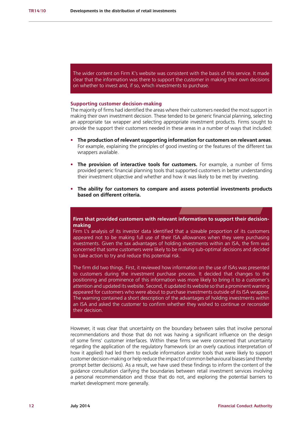The wider content on Firm K's website was consistent with the basis of this service. It made clear that the information was there to support the customer in making their own decisions on whether to invest and, if so, which investments to purchase.

#### **Supporting customer decision-making**

The majority of firms had identified the areas where their customers needed the most support in making their own investment decision. These tended to be generic financial planning, selecting an appropriate tax wrapper and selecting appropriate investment products. Firms sought to provide the support their customers needed in these areas in a number of ways that included:

- **• The production of relevant supporting information for customers on relevant areas**. For example, explaining the principles of good investing or the features of the different tax wrappers available.
- **• The provision of interactive tools for customers.** For example, a number of firms provided generic financial planning tools that supported customers in better understanding their investment objective and whether and how it was likely to be met by investing.
- **• The ability for customers to compare and assess potential investments products based on different criteria.**

### . **making Firm that provided customers with relevant information to support their decision-**

Firm L's analysis of its investor data identified that a sizeable proportion of its customers appeared not to be making full use of their ISA allowances when they were purchasing investments. Given the tax advantages of holding investments within an ISA, the firm was concerned that some customers were likely to be making sub-optimal decisions and decided to take action to try and reduce this potential risk.

The firm did two things. First, it reviewed how information on the use of ISAs was presented to customers during the investment purchase process. It decided that changes to the positioning and prominence of this information was more likely to bring it to a customer's attention and updated its website. Second, it updated its website so that a prominent warning appeared for customers who were about to purchase investments outside of its ISA wrapper. The warning contained a short description of the advantages of holding investments within an ISA and asked the customer to confirm whether they wished to continue or reconsider their decision.

However, it was clear that uncertainty on the boundary between sales that involve personal recommendations and those that do not was having a significant influence on the design of some firms' customer interfaces. Within these firms we were concerned that uncertainty regarding the application of the regulatory framework (or an overly cautious interpretation of how it applied) had led them to exclude information and/or tools that were likely to support customer decision-making or help reduce the impact of common behavioural biases (and thereby prompt better decisions). As a result, we have used these findings to inform the content of the guidance consultation clarifying the boundaries between retail investment services involving a personal recommendation and those that do not, and exploring the potential barriers to market development more generally.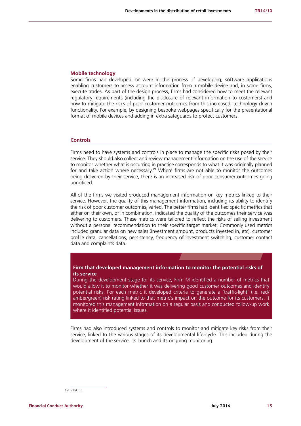#### **Mobile technology**

Some firms had developed, or were in the process of developing, software applications enabling customers to access account information from a mobile device and, in some firms, execute trades. As part of the design process, firms had considered how to meet the relevant regulatory requirements (including the disclosure of relevant information to customers) and how to mitigate the risks of poor customer outcomes from this increased, technology-driven functionality. For example, by designing bespoke webpages specifically for the presentational format of mobile devices and adding in extra safeguards to protect customers.

#### **Controls**

Firms need to have systems and controls in place to manage the specific risks posed by their service. They should also collect and review management information on the use of the service to monitor whether what is occurring in practice corresponds to what it was originally planned for and take action where necessary.<sup>19</sup> Where firms are not able to monitor the outcomes being delivered by their service, there is an increased risk of poor consumer outcomes going unnoticed.

All of the firms we visited produced management information on key metrics linked to their service. However, the quality of this management information, including its ability to identify the risk of poor customer outcomes, varied. The better firms had identified specific metrics that either on their own, or in combination, indicated the quality of the outcomes their service was delivering to customers. These metrics were tailored to reflect the risks of selling investment without a personal recommendation to their specific target market. Commonly used metrics included granular data on new sales (investment amount, products invested in, etc), customer profile data, cancellations, persistency, frequency of investment switching, customer contact data and complaints data.

#### . **Firm that developed management information to monitor the potential risks of its service**

During the development stage for its service, Firm M identified a number of metrics that would allow it to monitor whether it was delivering good customer outcomes and identify potential risks. For each metric it developed criteria to generate a 'traffic-light' (i.e. red/ amber/green) risk rating linked to that metric's impact on the outcome for its customers. It monitored this management information on a regular basis and conducted follow-up work where it identified potential issues.

Firms had also introduced systems and controls to monitor and mitigate key risks from their service, linked to the various stages of its developmental life-cycle. This included during the development of the service, its launch and its ongoing monitoring.

19 SYSC 3.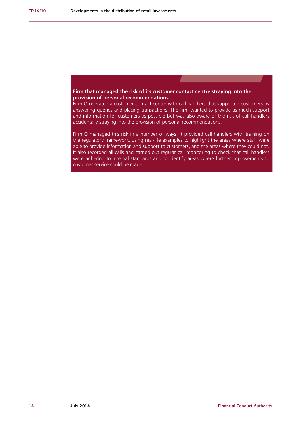### **Firm that managed the risk of its customer contact centre straying into the** . **provision of personal recommendations**

Firm O operated a customer contact centre with call handlers that supported customers by answering queries and placing transactions. The firm wanted to provide as much support and information for customers as possible but was also aware of the risk of call handlers accidentally straying into the provision of personal recommendations.

Firm O managed this risk in a number of ways. It provided call handlers with training on the regulatory framework, using real-life examples to highlight the areas where staff were able to provide information and support to customers, and the areas where they could not. It also recorded all calls and carried out regular call monitoring to check that call handlers were adhering to internal standards and to identify areas where further improvements to customer service could be made.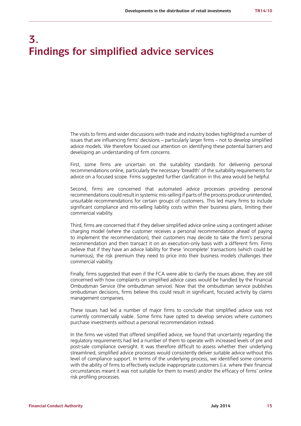# **3. Findings for simplified advice services**

The visits to firms and wider discussions with trade and industry bodies highlighted a number of issues that are influencing firms' decisions – particularly larger firms – not to develop simplified advice models. We therefore focused our attention on identifying these potential barriers and developing an understanding of firm concerns.

First, some firms are uncertain on the suitability standards for delivering personal recommendations online, particularly the necessary 'breadth' of the suitability requirements for advice on a focused scope. Firms suggested further clarification in this area would be helpful.

Second, firms are concerned that automated advice processes providing personal recommendations could result in systemic mis-selling if parts of the process produce unintended, unsuitable recommendations for certain groups of customers. This led many firms to include significant compliance and mis-selling liability costs within their business plans, limiting their commercial viability.

Third, firms are concerned that if they deliver simplified advice online using a contingent adviser charging model (where the customer receives a personal recommendation ahead of paying to implement the recommendation), their customers may decide to take the firm's personal recommendation and then transact it on an execution-only basis with a different firm. Firms believe that if they have an advice liability for these 'incomplete' transactions (which could be numerous), the risk premium they need to price into their business models challenges their commercial viability.

Finally, firms suggested that even if the FCA were able to clarify the issues above, they are still concerned with how complaints on simplified advice cases would be handled by the Financial Ombudsman Service (the ombudsman service). Now that the ombudsman service publishes ombudsman decisions, firms believe this could result in significant, focused activity by claims management companies.

These issues had led a number of major firms to conclude that simplified advice was not currently commercially viable. Some firms have opted to develop services where customers purchase investments without a personal recommendation instead.

In the firms we visited that offered simplified advice, we found that uncertainty regarding the regulatory requirements had led a number of them to operate with increased levels of pre and post-sale compliance oversight. It was therefore difficult to assess whether their underlying streamlined, simplified advice processes would consistently deliver suitable advice without this level of compliance support. In terms of the underlying process, we identified some concerns with the ability of firms to effectively exclude inappropriate customers (i.e. where their financial circumstances meant it was not suitable for them to invest) and/or the efficacy of firms' online risk profiling processes.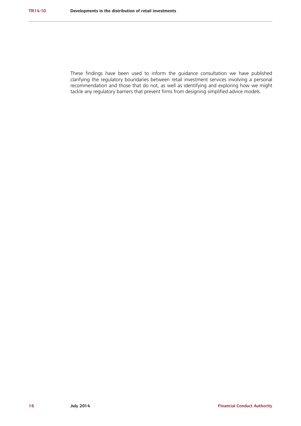These findings have been used to inform the guidance consultation we have published clarifying the regulatory boundaries between retail investment services involving a personal recommendation and those that do not, as well as identifying and exploring how we might tackle any regulatory barriers that prevent firms from designing simplified advice models.